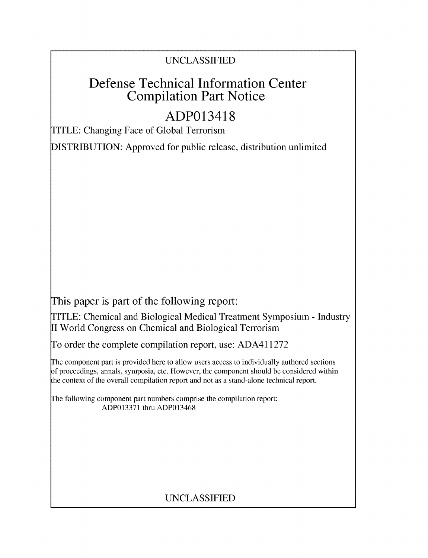### UNCLASSIFIED

## Defense Technical Information Center Compilation Part Notice

# ADP013418

TITLE: Changing Face of Global Terrorism

DISTRIBUTION: Approved for public release, distribution unlimited

This paper is part of the following report:

TITLE: Chemical and Biological Medical Treatment Symposium - Industry II World Congress on Chemical and Biological Terrorism

To order the complete compilation report, use: ADA411272

The component part is provided here to allow users access to individually authored sections f proceedings, annals, symposia, etc. However, the component should be considered within the context of the overall compilation report and not as a stand-alone technical report.

The following component part numbers comprise the compilation report: ADP013371 thru ADP013468

## UNCLASSIFIED